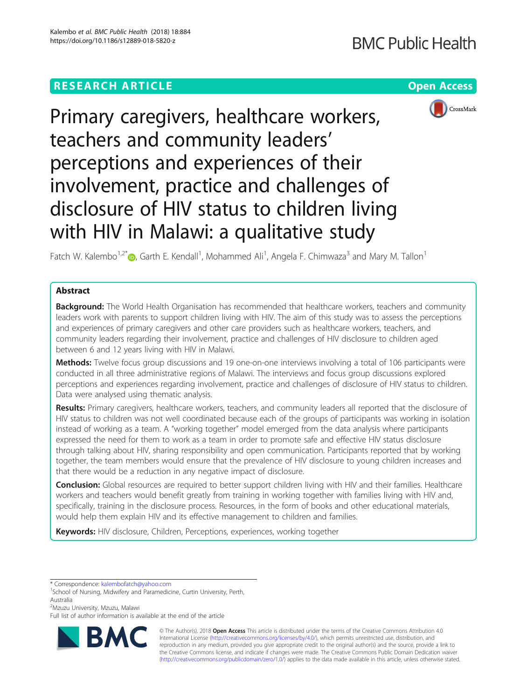# **RESEARCH ARTICLE Example 2018 12:30 THE Open Access**



Primary caregivers, healthcare workers, teachers and community leaders' perceptions and experiences of their involvement, practice and challenges of disclosure of HIV status to children living with HIV in Malawi: a qualitative study

Fatch W. Kalembo<sup>1,2[\\*](http://orcid.org/0000-0003-3032-3495)</sup> $\bm{\odot}$ , Garth E. Kendall<sup>1</sup>, Mohammed Ali<sup>1</sup>, Angela F. Chimwaza<sup>3</sup> and Mary M. Tallon<sup>1</sup>

## Abstract

Background: The World Health Organisation has recommended that healthcare workers, teachers and community leaders work with parents to support children living with HIV. The aim of this study was to assess the perceptions and experiences of primary caregivers and other care providers such as healthcare workers, teachers, and community leaders regarding their involvement, practice and challenges of HIV disclosure to children aged between 6 and 12 years living with HIV in Malawi.

Methods: Twelve focus group discussions and 19 one-on-one interviews involving a total of 106 participants were conducted in all three administrative regions of Malawi. The interviews and focus group discussions explored perceptions and experiences regarding involvement, practice and challenges of disclosure of HIV status to children. Data were analysed using thematic analysis.

Results: Primary caregivers, healthcare workers, teachers, and community leaders all reported that the disclosure of HIV status to children was not well coordinated because each of the groups of participants was working in isolation instead of working as a team. A "working together" model emerged from the data analysis where participants expressed the need for them to work as a team in order to promote safe and effective HIV status disclosure through talking about HIV, sharing responsibility and open communication. Participants reported that by working together, the team members would ensure that the prevalence of HIV disclosure to young children increases and that there would be a reduction in any negative impact of disclosure.

Conclusion: Global resources are required to better support children living with HIV and their families. Healthcare workers and teachers would benefit greatly from training in working together with families living with HIV and, specifically, training in the disclosure process. Resources, in the form of books and other educational materials, would help them explain HIV and its effective management to children and families.

Keywords: HIV disclosure, Children, Perceptions, experiences, working together

\* Correspondence: [kalembofatch@yahoo.com](mailto:kalembofatch@yahoo.com) <sup>1</sup>

2 Mzuzu University, Mzuzu, Malawi

Full list of author information is available at the end of the article



© The Author(s). 2018 Open Access This article is distributed under the terms of the Creative Commons Attribution 4.0 International License [\(http://creativecommons.org/licenses/by/4.0/](http://creativecommons.org/licenses/by/4.0/)), which permits unrestricted use, distribution, and reproduction in any medium, provided you give appropriate credit to the original author(s) and the source, provide a link to the Creative Commons license, and indicate if changes were made. The Creative Commons Public Domain Dedication waiver [\(http://creativecommons.org/publicdomain/zero/1.0/](http://creativecommons.org/publicdomain/zero/1.0/)) applies to the data made available in this article, unless otherwise stated.

<sup>&</sup>lt;sup>1</sup>School of Nursing, Midwifery and Paramedicine, Curtin University, Perth, Australia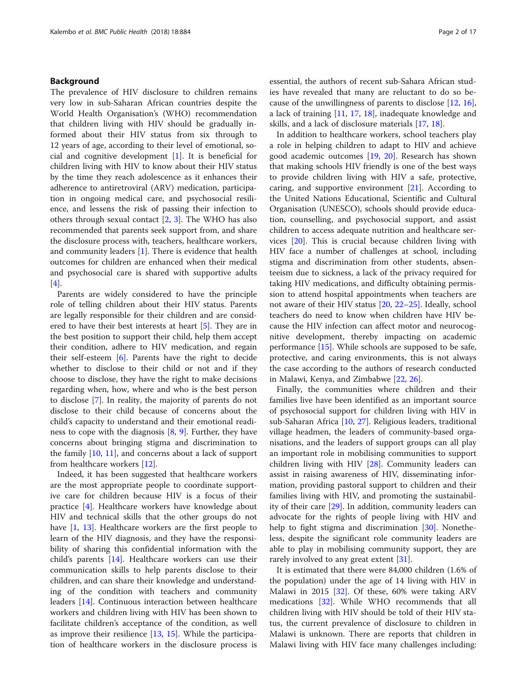### Background

The prevalence of HIV disclosure to children remains very low in sub-Saharan African countries despite the World Health Organisation's (WHO) recommendation that children living with HIV should be gradually informed about their HIV status from six through to 12 years of age, according to their level of emotional, social and cognitive development [[1\]](#page-14-0). It is beneficial for children living with HIV to know about their HIV status by the time they reach adolescence as it enhances their adherence to antiretroviral (ARV) medication, participation in ongoing medical care, and psychosocial resilience, and lessens the risk of passing their infection to others through sexual contact [\[2](#page-14-0), [3](#page-14-0)]. The WHO has also recommended that parents seek support from, and share the disclosure process with, teachers, healthcare workers, and community leaders [[1\]](#page-14-0). There is evidence that health outcomes for children are enhanced when their medical and psychosocial care is shared with supportive adults  $[4]$  $[4]$ .

Parents are widely considered to have the principle role of telling children about their HIV status. Parents are legally responsible for their children and are considered to have their best interests at heart [\[5](#page-14-0)]. They are in the best position to support their child, help them accept their condition, adhere to HIV medication, and regain their self-esteem [\[6](#page-14-0)]. Parents have the right to decide whether to disclose to their child or not and if they choose to disclose, they have the right to make decisions regarding when, how, where and who is the best person to disclose [\[7\]](#page-14-0). In reality, the majority of parents do not disclose to their child because of concerns about the child's capacity to understand and their emotional readiness to cope with the diagnosis [\[8](#page-14-0), [9\]](#page-14-0). Further, they have concerns about bringing stigma and discrimination to the family [[10,](#page-14-0) [11\]](#page-14-0), and concerns about a lack of support from healthcare workers [[12\]](#page-14-0).

Indeed, it has been suggested that healthcare workers are the most appropriate people to coordinate supportive care for children because HIV is a focus of their practice [\[4](#page-14-0)]. Healthcare workers have knowledge about HIV and technical skills that the other groups do not have [\[1](#page-14-0), [13](#page-14-0)]. Healthcare workers are the first people to learn of the HIV diagnosis, and they have the responsibility of sharing this confidential information with the child's parents [[14](#page-15-0)]. Healthcare workers can use their communication skills to help parents disclose to their children, and can share their knowledge and understanding of the condition with teachers and community leaders [\[14\]](#page-15-0). Continuous interaction between healthcare workers and children living with HIV has been shown to facilitate children's acceptance of the condition, as well as improve their resilience [[13,](#page-14-0) [15](#page-15-0)]. While the participation of healthcare workers in the disclosure process is essential, the authors of recent sub-Sahara African studies have revealed that many are reluctant to do so because of the unwillingness of parents to disclose [\[12](#page-14-0), [16](#page-15-0)], a lack of training [[11,](#page-14-0) [17,](#page-15-0) [18\]](#page-15-0), inadequate knowledge and skills, and a lack of disclosure materials [[17](#page-15-0), [18](#page-15-0)].

In addition to healthcare workers, school teachers play a role in helping children to adapt to HIV and achieve good academic outcomes [\[19,](#page-15-0) [20](#page-15-0)]. Research has shown that making schools HIV friendly is one of the best ways to provide children living with HIV a safe, protective, caring, and supportive environment [[21\]](#page-15-0). According to the United Nations Educational, Scientific and Cultural Organisation (UNESCO), schools should provide education, counselling, and psychosocial support, and assist children to access adequate nutrition and healthcare services [\[20](#page-15-0)]. This is crucial because children living with HIV face a number of challenges at school, including stigma and discrimination from other students, absenteeism due to sickness, a lack of the privacy required for taking HIV medications, and difficulty obtaining permission to attend hospital appointments when teachers are not aware of their HIV status [\[20](#page-15-0), [22](#page-15-0)–[25\]](#page-15-0). Ideally, school teachers do need to know when children have HIV because the HIV infection can affect motor and neurocognitive development, thereby impacting on academic performance [[15](#page-15-0)]. While schools are supposed to be safe, protective, and caring environments, this is not always the case according to the authors of research conducted in Malawi, Kenya, and Zimbabwe [[22,](#page-15-0) [26\]](#page-15-0).

Finally, the communities where children and their families live have been identified as an important source of psychosocial support for children living with HIV in sub-Saharan Africa [\[10,](#page-14-0) [27\]](#page-15-0). Religious leaders, traditional village headmen, the leaders of community-based organisations, and the leaders of support groups can all play an important role in mobilising communities to support children living with HIV [[28\]](#page-15-0). Community leaders can assist in raising awareness of HIV, disseminating information, providing pastoral support to children and their families living with HIV, and promoting the sustainability of their care [\[29](#page-15-0)]. In addition, community leaders can advocate for the rights of people living with HIV and help to fight stigma and discrimination [\[30\]](#page-15-0). Nonetheless, despite the significant role community leaders are able to play in mobilising community support, they are rarely involved to any great extent [\[31\]](#page-15-0).

It is estimated that there were 84,000 children (1.6% of the population) under the age of 14 living with HIV in Malawi in 2015 [[32\]](#page-15-0). Of these, 60% were taking ARV medications [\[32](#page-15-0)]. While WHO recommends that all children living with HIV should be told of their HIV status, the current prevalence of disclosure to children in Malawi is unknown. There are reports that children in Malawi living with HIV face many challenges including: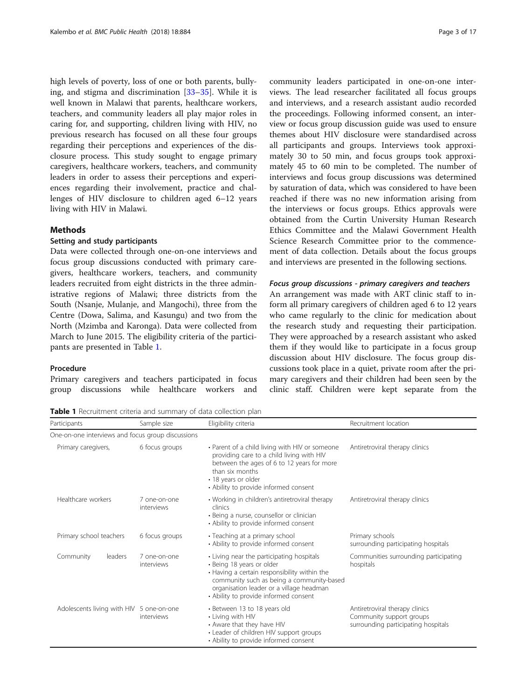high levels of poverty, loss of one or both parents, bullying, and stigma and discrimination [[33](#page-15-0)–[35](#page-15-0)]. While it is well known in Malawi that parents, healthcare workers, teachers, and community leaders all play major roles in caring for, and supporting, children living with HIV, no previous research has focused on all these four groups regarding their perceptions and experiences of the disclosure process. This study sought to engage primary caregivers, healthcare workers, teachers, and community leaders in order to assess their perceptions and experiences regarding their involvement, practice and challenges of HIV disclosure to children aged 6–12 years living with HIV in Malawi.

### **Methods**

### Setting and study participants

Data were collected through one-on-one interviews and focus group discussions conducted with primary caregivers, healthcare workers, teachers, and community leaders recruited from eight districts in the three administrative regions of Malawi; three districts from the South (Nsanje, Mulanje, and Mangochi), three from the Centre (Dowa, Salima, and Kasungu) and two from the North (Mzimba and Karonga). Data were collected from March to June 2015. The eligibility criteria of the participants are presented in Table 1.

### Procedure

Primary caregivers and teachers participated in focus group discussions while healthcare workers and

Table 1 Recruitment criteria and summary of data collection plan

|                     |                                          | One-on-one interviews and focus group discussions |                                                                                                                                                                                                                                                          |                                                                                                   |
|---------------------|------------------------------------------|---------------------------------------------------|----------------------------------------------------------------------------------------------------------------------------------------------------------------------------------------------------------------------------------------------------------|---------------------------------------------------------------------------------------------------|
| Primary caregivers, |                                          | 6 focus groups                                    | • Parent of a child living with HIV or someone<br>providing care to a child living with HIV<br>between the ages of 6 to 12 years for more<br>than six months<br>• 18 years or older<br>• Ability to provide informed consent                             | Antiretroviral therapy clinics                                                                    |
|                     | Healthcare workers                       | 7 one-on-one<br>interviews                        | • Working in children's antiretroviral therapy<br>clinics<br>• Being a nurse, counsellor or clinician<br>• Ability to provide informed consent                                                                                                           | Antiretroviral therapy clinics                                                                    |
|                     | Primary school teachers                  | 6 focus groups                                    | • Teaching at a primary school<br>• Ability to provide informed consent                                                                                                                                                                                  | Primary schools<br>surrounding participating hospitals                                            |
|                     | Community<br>leaders                     | 7 one-on-one<br>interviews                        | • Living near the participating hospitals<br>• Being 18 years or older<br>• Having a certain responsibility within the<br>community such as being a community-based<br>organisation leader or a village headman<br>• Ability to provide informed consent | Communities surrounding participating<br>hospitals                                                |
|                     | Adolescents living with HIV 5 one-on-one | interviews                                        | • Between 13 to 18 years old<br>• Living with HIV<br>• Aware that they have HIV<br>• Leader of children HIV support groups<br>• Ability to provide informed consent                                                                                      | Antiretroviral therapy clinics<br>Community support groups<br>surrounding participating hospitals |

Participants **Sample size** Eligibility criteria **Recruitment location** Recruitment location

community leaders participated in one-on-one interviews. The lead researcher facilitated all focus groups and interviews, and a research assistant audio recorded the proceedings. Following informed consent, an interview or focus group discussion guide was used to ensure themes about HIV disclosure were standardised across all participants and groups. Interviews took approximately 30 to 50 min, and focus groups took approximately 45 to 60 min to be completed. The number of interviews and focus group discussions was determined by saturation of data, which was considered to have been reached if there was no new information arising from the interviews or focus groups. Ethics approvals were obtained from the Curtin University Human Research Ethics Committee and the Malawi Government Health Science Research Committee prior to the commencement of data collection. Details about the focus groups and interviews are presented in the following sections.

### Focus group discussions - primary caregivers and teachers

An arrangement was made with ART clinic staff to inform all primary caregivers of children aged 6 to 12 years who came regularly to the clinic for medication about the research study and requesting their participation. They were approached by a research assistant who asked them if they would like to participate in a focus group discussion about HIV disclosure. The focus group discussions took place in a quiet, private room after the primary caregivers and their children had been seen by the clinic staff. Children were kept separate from the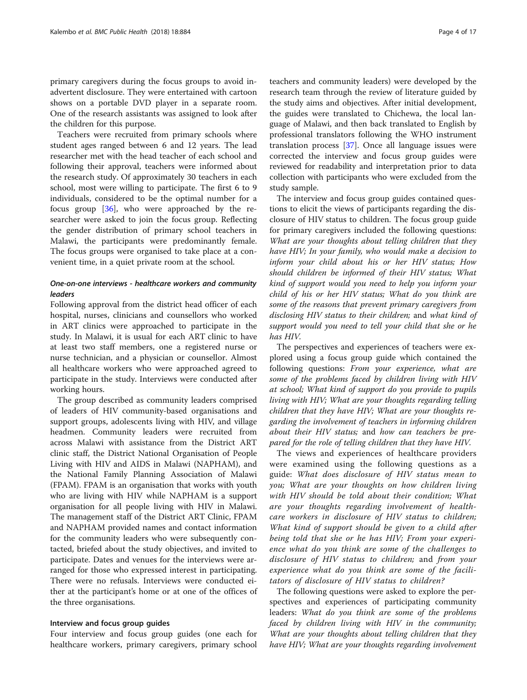primary caregivers during the focus groups to avoid inadvertent disclosure. They were entertained with cartoon shows on a portable DVD player in a separate room. One of the research assistants was assigned to look after the children for this purpose.

Teachers were recruited from primary schools where student ages ranged between 6 and 12 years. The lead researcher met with the head teacher of each school and following their approval, teachers were informed about the research study. Of approximately 30 teachers in each school, most were willing to participate. The first 6 to 9 individuals, considered to be the optimal number for a focus group [\[36](#page-15-0)], who were approached by the researcher were asked to join the focus group. Reflecting the gender distribution of primary school teachers in Malawi, the participants were predominantly female. The focus groups were organised to take place at a convenient time, in a quiet private room at the school.

### One-on-one interviews - healthcare workers and community leaders

Following approval from the district head officer of each hospital, nurses, clinicians and counsellors who worked in ART clinics were approached to participate in the study. In Malawi, it is usual for each ART clinic to have at least two staff members, one a registered nurse or nurse technician, and a physician or counsellor. Almost all healthcare workers who were approached agreed to participate in the study. Interviews were conducted after working hours.

The group described as community leaders comprised of leaders of HIV community-based organisations and support groups, adolescents living with HIV, and village headmen. Community leaders were recruited from across Malawi with assistance from the District ART clinic staff, the District National Organisation of People Living with HIV and AIDS in Malawi (NAPHAM), and the National Family Planning Association of Malawi (FPAM). FPAM is an organisation that works with youth who are living with HIV while NAPHAM is a support organisation for all people living with HIV in Malawi. The management staff of the District ART Clinic, FPAM and NAPHAM provided names and contact information for the community leaders who were subsequently contacted, briefed about the study objectives, and invited to participate. Dates and venues for the interviews were arranged for those who expressed interest in participating. There were no refusals. Interviews were conducted either at the participant's home or at one of the offices of the three organisations.

### Interview and focus group guides

Four interview and focus group guides (one each for healthcare workers, primary caregivers, primary school teachers and community leaders) were developed by the research team through the review of literature guided by the study aims and objectives. After initial development, the guides were translated to Chichewa, the local language of Malawi, and then back translated to English by professional translators following the WHO instrument translation process [[37\]](#page-15-0). Once all language issues were corrected the interview and focus group guides were reviewed for readability and interpretation prior to data collection with participants who were excluded from the study sample.

The interview and focus group guides contained questions to elicit the views of participants regarding the disclosure of HIV status to children. The focus group guide for primary caregivers included the following questions: What are your thoughts about telling children that they have HIV; In your family, who would make a decision to inform your child about his or her HIV status; How should children be informed of their HIV status; What kind of support would you need to help you inform your child of his or her HIV status; What do you think are some of the reasons that prevent primary caregivers from disclosing HIV status to their children; and what kind of support would you need to tell your child that she or he has HIV.

The perspectives and experiences of teachers were explored using a focus group guide which contained the following questions: From your experience, what are some of the problems faced by children living with HIV at school; What kind of support do you provide to pupils living with HIV; What are your thoughts regarding telling children that they have HIV; What are your thoughts regarding the involvement of teachers in informing children about their HIV status; and how can teachers be prepared for the role of telling children that they have HIV.

The views and experiences of healthcare providers were examined using the following questions as a guide: What does disclosure of HIV status mean to you; What are your thoughts on how children living with HIV should be told about their condition; What are your thoughts regarding involvement of healthcare workers in disclosure of HIV status to children; What kind of support should be given to a child after being told that she or he has HIV; From your experience what do you think are some of the challenges to disclosure of HIV status to children; and from your experience what do you think are some of the facilitators of disclosure of HIV status to children?

The following questions were asked to explore the perspectives and experiences of participating community leaders: What do you think are some of the problems faced by children living with HIV in the community; What are your thoughts about telling children that they have HIV; What are your thoughts regarding involvement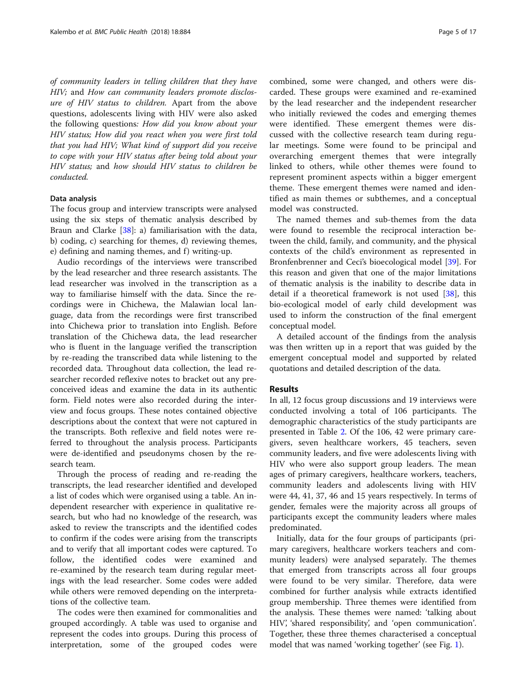of community leaders in telling children that they have HIV; and How can community leaders promote disclosure of HIV status to children. Apart from the above questions, adolescents living with HIV were also asked the following questions: How did you know about your HIV status; How did you react when you were first told that you had HIV; What kind of support did you receive to cope with your HIV status after being told about your HIV status; and how should HIV status to children be conducted.

### Data analysis

The focus group and interview transcripts were analysed using the six steps of thematic analysis described by Braun and Clarke [[38](#page-15-0)]: a) familiarisation with the data, b) coding, c) searching for themes, d) reviewing themes, e) defining and naming themes, and f) writing-up.

Audio recordings of the interviews were transcribed by the lead researcher and three research assistants. The lead researcher was involved in the transcription as a way to familiarise himself with the data. Since the recordings were in Chichewa, the Malawian local language, data from the recordings were first transcribed into Chichewa prior to translation into English. Before translation of the Chichewa data, the lead researcher who is fluent in the language verified the transcription by re-reading the transcribed data while listening to the recorded data. Throughout data collection, the lead researcher recorded reflexive notes to bracket out any preconceived ideas and examine the data in its authentic form. Field notes were also recorded during the interview and focus groups. These notes contained objective descriptions about the context that were not captured in the transcripts. Both reflexive and field notes were referred to throughout the analysis process. Participants were de-identified and pseudonyms chosen by the research team.

Through the process of reading and re-reading the transcripts, the lead researcher identified and developed a list of codes which were organised using a table. An independent researcher with experience in qualitative research, but who had no knowledge of the research, was asked to review the transcripts and the identified codes to confirm if the codes were arising from the transcripts and to verify that all important codes were captured. To follow, the identified codes were examined and re-examined by the research team during regular meetings with the lead researcher. Some codes were added while others were removed depending on the interpretations of the collective team.

The codes were then examined for commonalities and grouped accordingly. A table was used to organise and represent the codes into groups. During this process of interpretation, some of the grouped codes were combined, some were changed, and others were discarded. These groups were examined and re-examined by the lead researcher and the independent researcher who initially reviewed the codes and emerging themes were identified. These emergent themes were discussed with the collective research team during regular meetings. Some were found to be principal and overarching emergent themes that were integrally linked to others, while other themes were found to represent prominent aspects within a bigger emergent theme. These emergent themes were named and identified as main themes or subthemes, and a conceptual model was constructed.

The named themes and sub-themes from the data were found to resemble the reciprocal interaction between the child, family, and community, and the physical contexts of the child's environment as represented in Bronfenbrenner and Ceci's bioecological model [\[39](#page-15-0)]. For this reason and given that one of the major limitations of thematic analysis is the inability to describe data in detail if a theoretical framework is not used [[38\]](#page-15-0), this bio-ecological model of early child development was used to inform the construction of the final emergent conceptual model.

A detailed account of the findings from the analysis was then written up in a report that was guided by the emergent conceptual model and supported by related quotations and detailed description of the data.

### Results

In all, 12 focus group discussions and 19 interviews were conducted involving a total of 106 participants. The demographic characteristics of the study participants are presented in Table [2.](#page-5-0) Of the 106, 42 were primary caregivers, seven healthcare workers, 45 teachers, seven community leaders, and five were adolescents living with HIV who were also support group leaders. The mean ages of primary caregivers, healthcare workers, teachers, community leaders and adolescents living with HIV were 44, 41, 37, 46 and 15 years respectively. In terms of gender, females were the majority across all groups of participants except the community leaders where males predominated.

Initially, data for the four groups of participants (primary caregivers, healthcare workers teachers and community leaders) were analysed separately. The themes that emerged from transcripts across all four groups were found to be very similar. Therefore, data were combined for further analysis while extracts identified group membership. Three themes were identified from the analysis. These themes were named: 'talking about HIV', 'shared responsibility', and 'open communication'. Together, these three themes characterised a conceptual model that was named 'working together' (see Fig. [1\)](#page-6-0).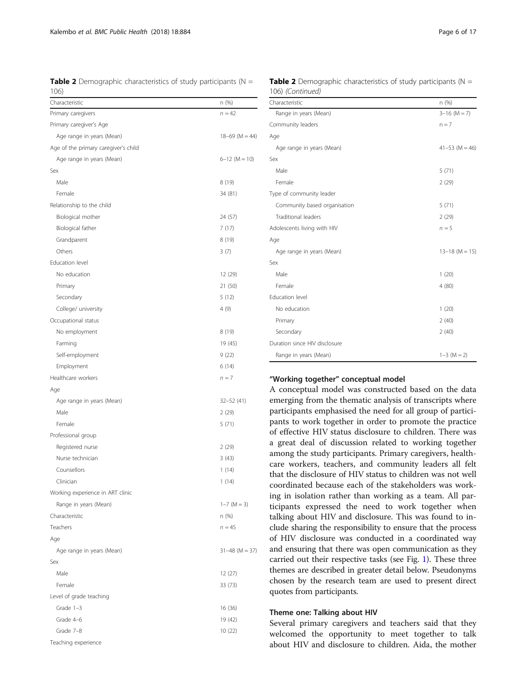<span id="page-5-0"></span>**Table 2** Demographic characteristics of study participants ( $N =$ 106)

| Characteristic                       | n (%)            |
|--------------------------------------|------------------|
| Primary caregivers                   | $n = 42$         |
| Primary caregiver's Age              |                  |
| Age range in years (Mean)            | $18-69$ (M = 44) |
| Age of the primary caregiver's child |                  |
| Age range in years (Mean)            | $6-12$ (M = 10)  |
| Sex                                  |                  |
| Male                                 | 8 (19)           |
| Female                               | 34 (81)          |
| Relationship to the child            |                  |
| Biological mother                    | 24 (57)          |
| Biological father                    | 7(17)            |
| Grandparent                          | 8(19)            |
| Others                               | 3(7)             |
| Education level                      |                  |
| No education                         | 12 (29)          |
| Primary                              | 21 (50)          |
| Secondary                            | 5(12)            |
| College/ university                  | 4(9)             |
| Occupational status                  |                  |
| No employment                        | 8 (19)           |
| Farming                              | 19 (45)          |
| Self-employment                      | 9(22)            |
| Employment                           | 6(14)            |
| Healthcare workers                   | $n = 7$          |
| Age                                  |                  |
| Age range in years (Mean)            | $32 - 52(41)$    |
| Male                                 | 2 (29)           |
| Female                               | 5(71)            |
| Professional group                   |                  |
| Registered nurse                     | 2(29)            |
| Nurse technician                     | 3(43)            |
| Counsellors                          | 1 (14)           |
| Clinician                            | 1 (14)           |
| Working experience in ART clinic     |                  |
| Range in years (Mean)                | $1 - 7$ (M = 3)  |
| Characteristic                       | n (%)            |
| Teachers                             | $n = 45$         |
| Age                                  |                  |
| Age range in years (Mean)            | $31-48$ (M = 37) |
| Sex                                  |                  |
| Male                                 | 12 (27)          |
| Female                               | 33(73)           |
| Level of grade teaching              |                  |
| Grade 1-3                            | 16 (36)          |
| Grade 4-6                            | 19 (42)          |
| Grade 7-8                            | 10 (22)          |
| Teaching experience                  |                  |

**Table 2** Demographic characteristics of study participants ( $N =$ 106) (Continued)

| Characteristic                | n (%)              |
|-------------------------------|--------------------|
| Range in years (Mean)         | $3-16$ (M = 7)     |
| Community leaders             | $n = 7$            |
| Age                           |                    |
| Age range in years (Mean)     | $41 - 53$ (M = 46) |
| Sex                           |                    |
| Male                          | 5(71)              |
| Female                        | 2(29)              |
| Type of community leader      |                    |
| Community based organisation  | 5(71)              |
| <b>Traditional leaders</b>    | 2(29)              |
| Adolescents living with HIV   | $n = 5$            |
| Age                           |                    |
| Age range in years (Mean)     | $13-18$ (M = 15)   |
| Sex                           |                    |
| Male                          | 1(20)              |
| Female                        | 4(80)              |
| Education level               |                    |
| No education                  | 1(20)              |
| Primary                       | 2(40)              |
| Secondary                     | 2(40)              |
| Duration since HIV disclosure |                    |
| Range in years (Mean)         | $1-3$ (M = 2)      |

### "Working together" conceptual model

A conceptual model was constructed based on the data emerging from the thematic analysis of transcripts where participants emphasised the need for all group of participants to work together in order to promote the practice of effective HIV status disclosure to children. There was a great deal of discussion related to working together among the study participants. Primary caregivers, healthcare workers, teachers, and community leaders all felt that the disclosure of HIV status to children was not well coordinated because each of the stakeholders was working in isolation rather than working as a team. All participants expressed the need to work together when talking about HIV and disclosure. This was found to include sharing the responsibility to ensure that the process of HIV disclosure was conducted in a coordinated way and ensuring that there was open communication as they carried out their respective tasks (see Fig. [1](#page-6-0)). These three themes are described in greater detail below. Pseudonyms chosen by the research team are used to present direct quotes from participants.

#### Theme one: Talking about HIV

Several primary caregivers and teachers said that they welcomed the opportunity to meet together to talk about HIV and disclosure to children. Aida, the mother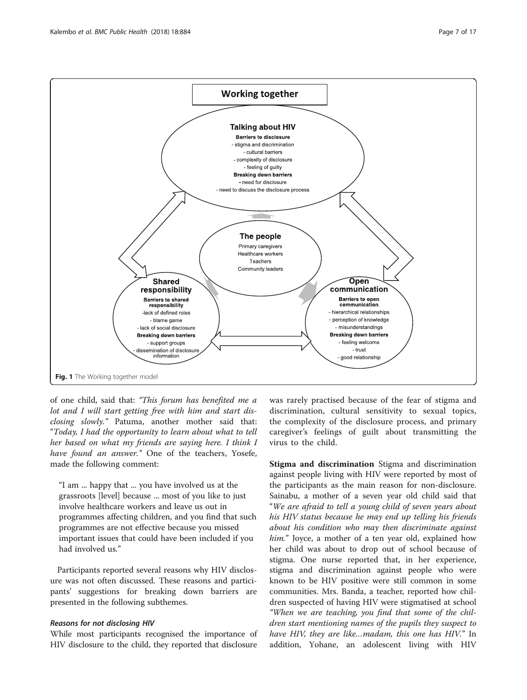<span id="page-6-0"></span>

of one child, said that: "This forum has benefited me a lot and I will start getting free with him and start disclosing slowly." Patuma, another mother said that: "Today, I had the opportunity to learn about what to tell her based on what my friends are saying here. I think I have found an answer." One of the teachers, Yosefe, made the following comment:

"I am ... happy that ... you have involved us at the grassroots [level] because ... most of you like to just involve healthcare workers and leave us out in programmes affecting children, and you find that such programmes are not effective because you missed important issues that could have been included if you had involved us."

Participants reported several reasons why HIV disclosure was not often discussed. These reasons and participants' suggestions for breaking down barriers are presented in the following subthemes.

### Reasons for not disclosing HIV

While most participants recognised the importance of HIV disclosure to the child, they reported that disclosure

was rarely practised because of the fear of stigma and discrimination, cultural sensitivity to sexual topics, the complexity of the disclosure process, and primary caregiver's feelings of guilt about transmitting the virus to the child.

Stigma and discrimination Stigma and discrimination against people living with HIV were reported by most of the participants as the main reason for non-disclosure. Sainabu, a mother of a seven year old child said that "We are afraid to tell a young child of seven years about his HIV status because he may end up telling his friends about his condition who may then discriminate against him." Joyce, a mother of a ten year old, explained how her child was about to drop out of school because of stigma. One nurse reported that, in her experience, stigma and discrimination against people who were known to be HIV positive were still common in some communities. Mrs. Banda, a teacher, reported how children suspected of having HIV were stigmatised at school "When we are teaching, you find that some of the children start mentioning names of the pupils they suspect to have HIV, they are like…madam, this one has HIV." In addition, Yohane, an adolescent living with HIV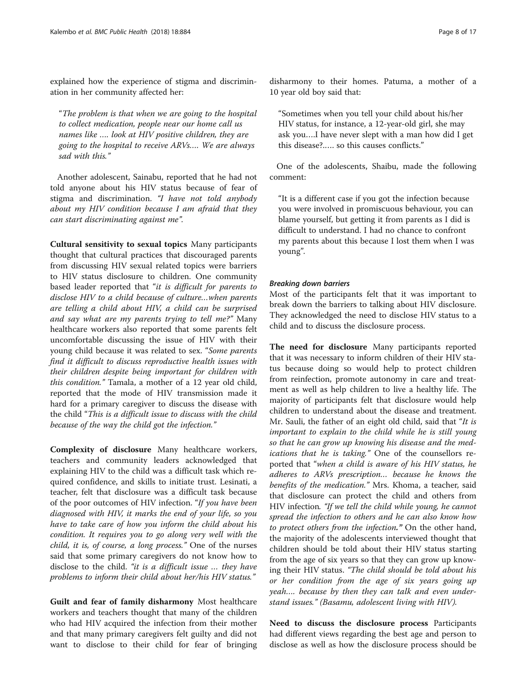explained how the experience of stigma and discrimination in her community affected her:

"The problem is that when we are going to the hospital to collect medication, people near our home call us names like …. look at HIV positive children, they are going to the hospital to receive ARVs…. We are always sad with this."

Another adolescent, Sainabu, reported that he had not told anyone about his HIV status because of fear of stigma and discrimination. "I have not told anybody about my HIV condition because I am afraid that they can start discriminating against me".

Cultural sensitivity to sexual topics Many participants thought that cultural practices that discouraged parents from discussing HIV sexual related topics were barriers to HIV status disclosure to children. One community based leader reported that "it is difficult for parents to disclose HIV to a child because of culture…when parents are telling a child about HIV, a child can be surprised and say what are my parents trying to tell me?" Many healthcare workers also reported that some parents felt uncomfortable discussing the issue of HIV with their young child because it was related to sex. "Some parents find it difficult to discuss reproductive health issues with their children despite being important for children with this condition." Tamala, a mother of a 12 year old child, reported that the mode of HIV transmission made it hard for a primary caregiver to discuss the disease with the child "This is a difficult issue to discuss with the child because of the way the child got the infection."

Complexity of disclosure Many healthcare workers, teachers and community leaders acknowledged that explaining HIV to the child was a difficult task which required confidence, and skills to initiate trust. Lesinati, a teacher, felt that disclosure was a difficult task because of the poor outcomes of HIV infection. "If you have been diagnosed with HIV, it marks the end of your life, so you have to take care of how you inform the child about his condition. It requires you to go along very well with the child, it is, of course, a long process." One of the nurses said that some primary caregivers do not know how to disclose to the child. "it is a difficult issue … they have problems to inform their child about her/his HIV status."

Guilt and fear of family disharmony Most healthcare workers and teachers thought that many of the children who had HIV acquired the infection from their mother and that many primary caregivers felt guilty and did not want to disclose to their child for fear of bringing disharmony to their homes. Patuma, a mother of a 10 year old boy said that:

"Sometimes when you tell your child about his/her HIV status, for instance, a 12-year-old girl, she may ask you….I have never slept with a man how did I get this disease?.…. so this causes conflicts."

One of the adolescents, Shaibu, made the following comment:

"It is a different case if you got the infection because you were involved in promiscuous behaviour, you can blame yourself, but getting it from parents as I did is difficult to understand. I had no chance to confront my parents about this because I lost them when I was young".

#### Breaking down barriers

Most of the participants felt that it was important to break down the barriers to talking about HIV disclosure. They acknowledged the need to disclose HIV status to a child and to discuss the disclosure process.

The need for disclosure Many participants reported that it was necessary to inform children of their HIV status because doing so would help to protect children from reinfection, promote autonomy in care and treatment as well as help children to live a healthy life. The majority of participants felt that disclosure would help children to understand about the disease and treatment. Mr. Sauli, the father of an eight old child, said that "It is important to explain to the child while he is still young so that he can grow up knowing his disease and the medications that he is taking." One of the counsellors reported that "when a child is aware of his HIV status, he adheres to ARVs prescription… because he knows the benefits of the medication." Mrs. Khoma, a teacher, said that disclosure can protect the child and others from HIV infection. "If we tell the child while young, he cannot spread the infection to others and he can also know how to protect others from the infection." On the other hand, the majority of the adolescents interviewed thought that children should be told about their HIV status starting from the age of six years so that they can grow up knowing their HIV status. "The child should be told about his or her condition from the age of six years going up yeah…. because by then they can talk and even understand issues." (Basamu, adolescent living with HIV).

Need to discuss the disclosure process Participants had different views regarding the best age and person to disclose as well as how the disclosure process should be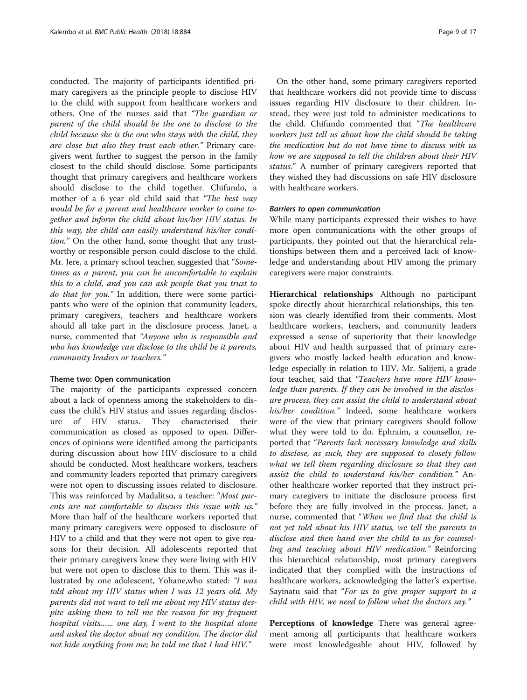conducted. The majority of participants identified primary caregivers as the principle people to disclose HIV to the child with support from healthcare workers and others. One of the nurses said that "The guardian or parent of the child should be the one to disclose to the child because she is the one who stays with the child, they are close but also they trust each other." Primary caregivers went further to suggest the person in the family closest to the child should disclose. Some participants thought that primary caregivers and healthcare workers should disclose to the child together. Chifundo, a mother of a 6 year old child said that "The best way would be for a parent and healthcare worker to come together and inform the child about his/her HIV status. In this way, the child can easily understand his/her condition." On the other hand, some thought that any trustworthy or responsible person could disclose to the child. Mr. Jere, a primary school teacher, suggested that "Sometimes as a parent, you can be uncomfortable to explain this to a child, and you can ask people that you trust to do that for you." In addition, there were some participants who were of the opinion that community leaders, primary caregivers, teachers and healthcare workers should all take part in the disclosure process. Janet, a nurse, commented that "Anyone who is responsible and who has knowledge can disclose to the child be it parents, community leaders or teachers."

### Theme two: Open communication

The majority of the participants expressed concern about a lack of openness among the stakeholders to discuss the child's HIV status and issues regarding disclosure of HIV status. They characterised their communication as closed as opposed to open. Differences of opinions were identified among the participants during discussion about how HIV disclosure to a child should be conducted. Most healthcare workers, teachers and community leaders reported that primary caregivers were not open to discussing issues related to disclosure. This was reinforced by Madalitso, a teacher: "Most parents are not comfortable to discuss this issue with us." More than half of the healthcare workers reported that many primary caregivers were opposed to disclosure of HIV to a child and that they were not open to give reasons for their decision. All adolescents reported that their primary caregivers knew they were living with HIV but were not open to disclose this to them. This was illustrated by one adolescent, Yohane,who stated: "I was told about my HIV status when I was 12 years old. My parents did not want to tell me about my HIV status despite asking them to tell me the reason for my frequent hospital visits…... one day, I went to the hospital alone and asked the doctor about my condition. The doctor did not hide anything from me; he told me that I had HIV."

On the other hand, some primary caregivers reported that healthcare workers did not provide time to discuss issues regarding HIV disclosure to their children. Instead, they were just told to administer medications to the child. Chifundo commented that "The healthcare workers just tell us about how the child should be taking the medication but do not have time to discuss with us how we are supposed to tell the children about their HIV status." A number of primary caregivers reported that they wished they had discussions on safe HIV disclosure with healthcare workers.

### Barriers to open communication

While many participants expressed their wishes to have more open communications with the other groups of participants, they pointed out that the hierarchical relationships between them and a perceived lack of knowledge and understanding about HIV among the primary caregivers were major constraints.

Hierarchical relationships Although no participant spoke directly about hierarchical relationships, this tension was clearly identified from their comments. Most healthcare workers, teachers, and community leaders expressed a sense of superiority that their knowledge about HIV and health surpassed that of primary caregivers who mostly lacked health education and knowledge especially in relation to HIV. Mr. Salijeni, a grade four teacher, said that "Teachers have more HIV knowledge than parents. If they can be involved in the disclosure process, they can assist the child to understand about his/her condition." Indeed, some healthcare workers were of the view that primary caregivers should follow what they were told to do. Ephraim, a counsellor, reported that "Parents lack necessary knowledge and skills to disclose, as such, they are supposed to closely follow what we tell them regarding disclosure so that they can assist the child to understand his/her condition." Another healthcare worker reported that they instruct primary caregivers to initiate the disclosure process first before they are fully involved in the process. Janet, a nurse, commented that "When we find that the child is not yet told about his HIV status, we tell the parents to disclose and then hand over the child to us for counselling and teaching about HIV medication." Reinforcing this hierarchical relationship, most primary caregivers indicated that they complied with the instructions of healthcare workers, acknowledging the latter's expertise. Sayinatu said that "For us to give proper support to a child with HIV, we need to follow what the doctors say."

Perceptions of knowledge There was general agreement among all participants that healthcare workers were most knowledgeable about HIV, followed by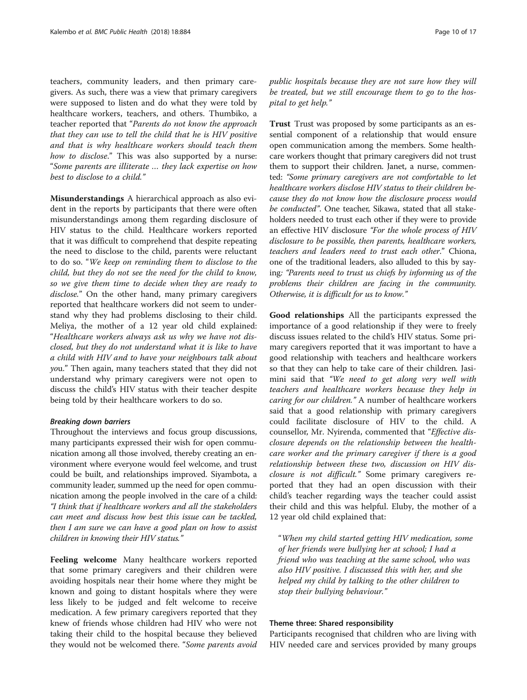teachers, community leaders, and then primary caregivers. As such, there was a view that primary caregivers were supposed to listen and do what they were told by healthcare workers, teachers, and others. Thumbiko, a teacher reported that "Parents do not know the approach that they can use to tell the child that he is HIV positive and that is why healthcare workers should teach them how to disclose." This was also supported by a nurse: "Some parents are illiterate … they lack expertise on how best to disclose to a child."

Misunderstandings A hierarchical approach as also evident in the reports by participants that there were often misunderstandings among them regarding disclosure of HIV status to the child. Healthcare workers reported that it was difficult to comprehend that despite repeating the need to disclose to the child, parents were reluctant to do so. "We keep on reminding them to disclose to the child, but they do not see the need for the child to know, so we give them time to decide when they are ready to disclose." On the other hand, many primary caregivers reported that healthcare workers did not seem to understand why they had problems disclosing to their child. Meliya, the mother of a 12 year old child explained: "Healthcare workers always ask us why we have not disclosed, but they do not understand what it is like to have a child with HIV and to have your neighbours talk about you." Then again, many teachers stated that they did not understand why primary caregivers were not open to discuss the child's HIV status with their teacher despite being told by their healthcare workers to do so.

#### Breaking down barriers

Throughout the interviews and focus group discussions, many participants expressed their wish for open communication among all those involved, thereby creating an environment where everyone would feel welcome, and trust could be built, and relationships improved. Siyambota, a community leader, summed up the need for open communication among the people involved in the care of a child: "I think that if healthcare workers and all the stakeholders can meet and discuss how best this issue can be tackled, then I am sure we can have a good plan on how to assist children in knowing their HIV status."

Feeling welcome Many healthcare workers reported that some primary caregivers and their children were avoiding hospitals near their home where they might be known and going to distant hospitals where they were less likely to be judged and felt welcome to receive medication. A few primary caregivers reported that they knew of friends whose children had HIV who were not taking their child to the hospital because they believed they would not be welcomed there. "Some parents avoid public hospitals because they are not sure how they will be treated, but we still encourage them to go to the hospital to get help."

Trust Trust was proposed by some participants as an essential component of a relationship that would ensure open communication among the members. Some healthcare workers thought that primary caregivers did not trust them to support their children. Janet, a nurse, commented: "Some primary caregivers are not comfortable to let healthcare workers disclose HIV status to their children because they do not know how the disclosure process would be conducted". One teacher, Sikawa, stated that all stakeholders needed to trust each other if they were to provide an effective HIV disclosure "For the whole process of HIV disclosure to be possible, then parents, healthcare workers, teachers and leaders need to trust each other." Chiona, one of the traditional leaders, also alluded to this by saying: "Parents need to trust us chiefs by informing us of the problems their children are facing in the community. Otherwise, it is difficult for us to know."

Good relationships All the participants expressed the importance of a good relationship if they were to freely discuss issues related to the child's HIV status. Some primary caregivers reported that it was important to have a good relationship with teachers and healthcare workers so that they can help to take care of their children. Jasimini said that "We need to get along very well with teachers and healthcare workers because they help in caring for our children." A number of healthcare workers said that a good relationship with primary caregivers could facilitate disclosure of HIV to the child. A counsellor, Mr. Nyirenda, commented that "Effective disclosure depends on the relationship between the healthcare worker and the primary caregiver if there is a good relationship between these two, discussion on HIV disclosure is not difficult." Some primary caregivers reported that they had an open discussion with their child's teacher regarding ways the teacher could assist their child and this was helpful. Eluby, the mother of a 12 year old child explained that:

"When my child started getting HIV medication, some of her friends were bullying her at school; I had a friend who was teaching at the same school, who was also HIV positive. I discussed this with her, and she helped my child by talking to the other children to stop their bullying behaviour."

### Theme three: Shared responsibility

Participants recognised that children who are living with HIV needed care and services provided by many groups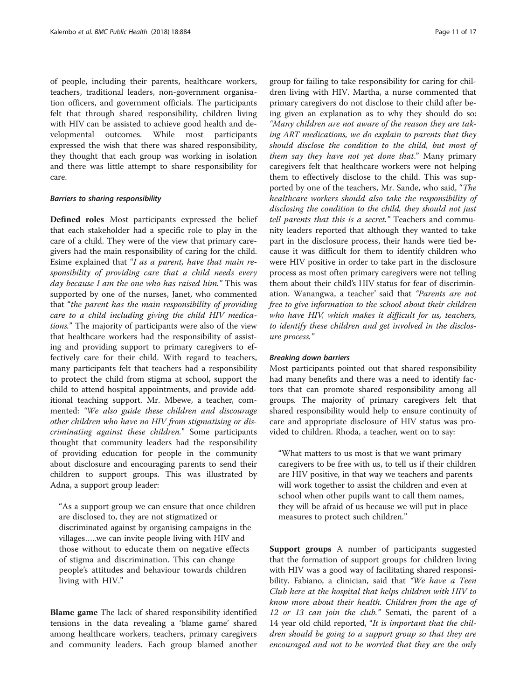of people, including their parents, healthcare workers, teachers, traditional leaders, non-government organisation officers, and government officials. The participants felt that through shared responsibility, children living with HIV can be assisted to achieve good health and developmental outcomes. While most participants expressed the wish that there was shared responsibility, they thought that each group was working in isolation and there was little attempt to share responsibility for care.

### Barriers to sharing responsibility

Defined roles Most participants expressed the belief that each stakeholder had a specific role to play in the care of a child. They were of the view that primary caregivers had the main responsibility of caring for the child. Esime explained that "I as a parent, have that main responsibility of providing care that a child needs every day because I am the one who has raised him." This was supported by one of the nurses, Janet, who commented that "the parent has the main responsibility of providing care to a child including giving the child HIV medications." The majority of participants were also of the view that healthcare workers had the responsibility of assisting and providing support to primary caregivers to effectively care for their child. With regard to teachers, many participants felt that teachers had a responsibility to protect the child from stigma at school, support the child to attend hospital appointments, and provide additional teaching support. Mr. Mbewe, a teacher, commented: "We also guide these children and discourage other children who have no HIV from stigmatising or discriminating against these children." Some participants thought that community leaders had the responsibility of providing education for people in the community about disclosure and encouraging parents to send their children to support groups. This was illustrated by Adna, a support group leader:

"As a support group we can ensure that once children are disclosed to, they are not stigmatized or discriminated against by organising campaigns in the villages…..we can invite people living with HIV and those without to educate them on negative effects of stigma and discrimination. This can change people's attitudes and behaviour towards children living with HIV."

Blame game The lack of shared responsibility identified tensions in the data revealing a 'blame game' shared among healthcare workers, teachers, primary caregivers and community leaders. Each group blamed another group for failing to take responsibility for caring for children living with HIV. Martha, a nurse commented that primary caregivers do not disclose to their child after being given an explanation as to why they should do so: "Many children are not aware of the reason they are taking ART medications, we do explain to parents that they should disclose the condition to the child, but most of them say they have not yet done that." Many primary caregivers felt that healthcare workers were not helping them to effectively disclose to the child. This was supported by one of the teachers, Mr. Sande, who said, "The healthcare workers should also take the responsibility of disclosing the condition to the child, they should not just tell parents that this is a secret." Teachers and community leaders reported that although they wanted to take part in the disclosure process, their hands were tied because it was difficult for them to identify children who were HIV positive in order to take part in the disclosure process as most often primary caregivers were not telling them about their child's HIV status for fear of discrimination. Wanangwa, a teacher' said that "Parents are not free to give information to the school about their children who have HIV, which makes it difficult for us, teachers, to identify these children and get involved in the disclosure process."

### Breaking down barriers

Most participants pointed out that shared responsibility had many benefits and there was a need to identify factors that can promote shared responsibility among all groups. The majority of primary caregivers felt that shared responsibility would help to ensure continuity of care and appropriate disclosure of HIV status was provided to children. Rhoda, a teacher, went on to say:

"What matters to us most is that we want primary caregivers to be free with us, to tell us if their children are HIV positive, in that way we teachers and parents will work together to assist the children and even at school when other pupils want to call them names, they will be afraid of us because we will put in place measures to protect such children."

Support groups A number of participants suggested that the formation of support groups for children living with HIV was a good way of facilitating shared responsibility. Fabiano, a clinician, said that "We have a Teen Club here at the hospital that helps children with HIV to know more about their health. Children from the age of 12 or 13 can join the club." Semati, the parent of a 14 year old child reported, "It is important that the children should be going to a support group so that they are encouraged and not to be worried that they are the only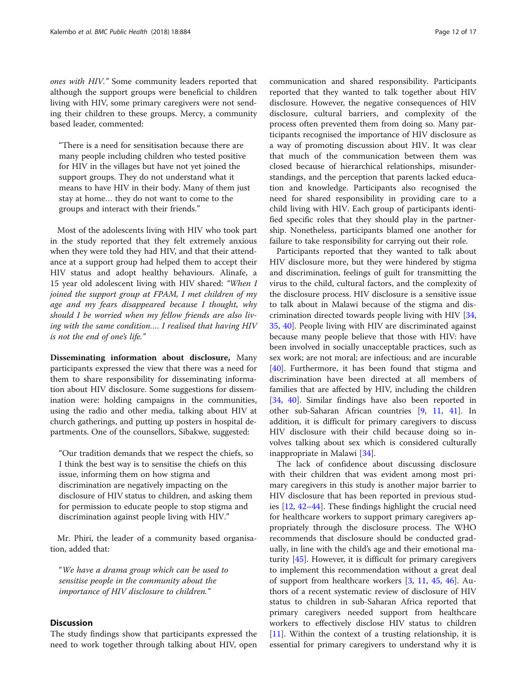ones with HIV." Some community leaders reported that although the support groups were beneficial to children living with HIV, some primary caregivers were not sending their children to these groups. Mercy, a community based leader, commented:

"There is a need for sensitisation because there are many people including children who tested positive for HIV in the villages but have not yet joined the support groups. They do not understand what it means to have HIV in their body. Many of them just stay at home… they do not want to come to the groups and interact with their friends."

Most of the adolescents living with HIV who took part in the study reported that they felt extremely anxious when they were told they had HIV, and that their attendance at a support group had helped them to accept their HIV status and adopt healthy behaviours. Alinafe, a 15 year old adolescent living with HIV shared: "When I joined the support group at FPAM, I met children of my age and my fears disappeared because I thought, why should I be worried when my fellow friends are also living with the same condition…. I realised that having HIV is not the end of one's life."

Disseminating information about disclosure, Many participants expressed the view that there was a need for them to share responsibility for disseminating information about HIV disclosure. Some suggestions for dissemination were: holding campaigns in the communities, using the radio and other media, talking about HIV at church gatherings, and putting up posters in hospital departments. One of the counsellors, Sibakwe, suggested:

"Our tradition demands that we respect the chiefs, so I think the best way is to sensitise the chiefs on this issue, informing them on how stigma and discrimination are negatively impacting on the disclosure of HIV status to children, and asking them for permission to educate people to stop stigma and discrimination against people living with HIV."

Mr. Phiri, the leader of a community based organisation, added that:

"We have a drama group which can be used to sensitise people in the community about the importance of HIV disclosure to children."

### **Discussion**

The study findings show that participants expressed the need to work together through talking about HIV, open

communication and shared responsibility. Participants reported that they wanted to talk together about HIV disclosure. However, the negative consequences of HIV disclosure, cultural barriers, and complexity of the process often prevented them from doing so. Many participants recognised the importance of HIV disclosure as a way of promoting discussion about HIV. It was clear that much of the communication between them was closed because of hierarchical relationships, misunderstandings, and the perception that parents lacked education and knowledge. Participants also recognised the need for shared responsibility in providing care to a child living with HIV. Each group of participants identified specific roles that they should play in the partnership. Nonetheless, participants blamed one another for failure to take responsibility for carrying out their role.

Participants reported that they wanted to talk about HIV disclosure more, but they were hindered by stigma and discrimination, feelings of guilt for transmitting the virus to the child, cultural factors, and the complexity of the disclosure process. HIV disclosure is a sensitive issue to talk about in Malawi because of the stigma and discrimination directed towards people living with HIV [[34](#page-15-0), [35,](#page-15-0) [40\]](#page-15-0). People living with HIV are discriminated against because many people believe that those with HIV: have been involved in socially unacceptable practices, such as sex work; are not moral; are infectious; and are incurable [[40\]](#page-15-0). Furthermore, it has been found that stigma and discrimination have been directed at all members of families that are affected by HIV, including the children [[34,](#page-15-0) [40](#page-15-0)]. Similar findings have also been reported in other sub-Saharan African countries [\[9](#page-14-0), [11,](#page-14-0) [41\]](#page-15-0). In addition, it is difficult for primary caregivers to discuss HIV disclosure with their child because doing so involves talking about sex which is considered culturally inappropriate in Malawi [[34](#page-15-0)].

The lack of confidence about discussing disclosure with their children that was evident among most primary caregivers in this study is another major barrier to HIV disclosure that has been reported in previous studies [[12](#page-14-0), [42](#page-15-0)–[44](#page-15-0)]. These findings highlight the crucial need for healthcare workers to support primary caregivers appropriately through the disclosure process. The WHO recommends that disclosure should be conducted gradually, in line with the child's age and their emotional maturity [[45](#page-15-0)]. However, it is difficult for primary caregivers to implement this recommendation without a great deal of support from healthcare workers [\[3,](#page-14-0) [11,](#page-14-0) [45,](#page-15-0) [46\]](#page-15-0). Authors of a recent systematic review of disclosure of HIV status to children in sub-Saharan Africa reported that primary caregivers needed support from healthcare workers to effectively disclose HIV status to children [[11\]](#page-14-0). Within the context of a trusting relationship, it is essential for primary caregivers to understand why it is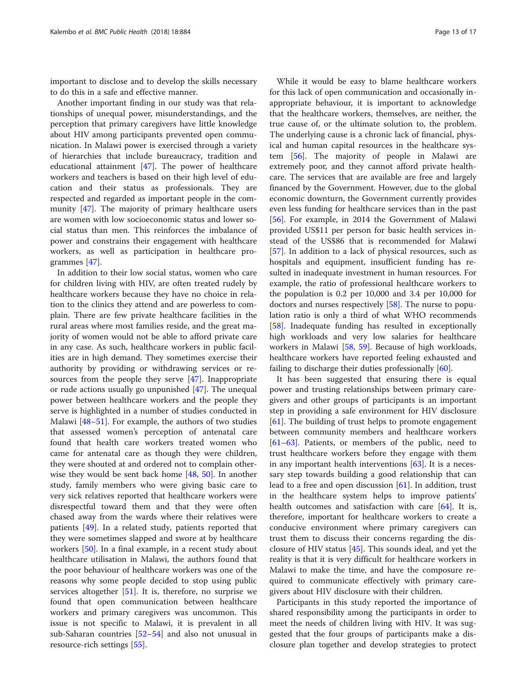important to disclose and to develop the skills necessary to do this in a safe and effective manner.

Another important finding in our study was that relationships of unequal power, misunderstandings, and the perception that primary caregivers have little knowledge about HIV among participants prevented open communication. In Malawi power is exercised through a variety of hierarchies that include bureaucracy, tradition and educational attainment [[47\]](#page-15-0). The power of healthcare workers and teachers is based on their high level of education and their status as professionals. They are respected and regarded as important people in the community [[47](#page-15-0)]. The majority of primary healthcare users are women with low socioeconomic status and lower social status than men. This reinforces the imbalance of power and constrains their engagement with healthcare workers, as well as participation in healthcare programmes [\[47\]](#page-15-0).

In addition to their low social status, women who care for children living with HIV, are often treated rudely by healthcare workers because they have no choice in relation to the clinics they attend and are powerless to complain. There are few private healthcare facilities in the rural areas where most families reside, and the great majority of women would not be able to afford private care in any case. As such, healthcare workers in public facilities are in high demand. They sometimes exercise their authority by providing or withdrawing services or resources from the people they serve [\[47](#page-15-0)]. Inappropriate or rude actions usually go unpunished [[47](#page-15-0)]. The unequal power between healthcare workers and the people they serve is highlighted in a number of studies conducted in Malawi [[48](#page-15-0)–[51](#page-15-0)]. For example, the authors of two studies that assessed women's perception of antenatal care found that health care workers treated women who came for antenatal care as though they were children, they were shouted at and ordered not to complain otherwise they would be sent back home [[48](#page-15-0), [50\]](#page-15-0). In another study, family members who were giving basic care to very sick relatives reported that healthcare workers were disrespectful toward them and that they were often chased away from the wards where their relatives were patients [\[49](#page-15-0)]. In a related study, patients reported that they were sometimes slapped and swore at by healthcare workers [[50](#page-15-0)]. In a final example, in a recent study about healthcare utilisation in Malawi, the authors found that the poor behaviour of healthcare workers was one of the reasons why some people decided to stop using public services altogether  $[51]$ . It is, therefore, no surprise we found that open communication between healthcare workers and primary caregivers was uncommon. This issue is not specific to Malawi, it is prevalent in all sub-Saharan countries [\[52](#page-15-0)–[54\]](#page-15-0) and also not unusual in resource-rich settings [\[55\]](#page-15-0).

While it would be easy to blame healthcare workers for this lack of open communication and occasionally inappropriate behaviour, it is important to acknowledge that the healthcare workers, themselves, are neither, the true cause of, or the ultimate solution to, the problem. The underlying cause is a chronic lack of financial, physical and human capital resources in the healthcare system [[56\]](#page-15-0). The majority of people in Malawi are extremely poor, and they cannot afford private healthcare. The services that are available are free and largely financed by the Government. However, due to the global economic downturn, the Government currently provides even less funding for healthcare services than in the past [[56\]](#page-15-0). For example, in 2014 the Government of Malawi provided US\$11 per person for basic health services instead of the US\$86 that is recommended for Malawi [[57\]](#page-15-0). In addition to a lack of physical resources, such as hospitals and equipment, insufficient funding has resulted in inadequate investment in human resources. For example, the ratio of professional healthcare workers to the population is 0.2 per 10,000 and 3.4 per 10,000 for doctors and nurses respectively [[58](#page-15-0)]. The nurse to population ratio is only a third of what WHO recommends [[58\]](#page-15-0). Inadequate funding has resulted in exceptionally high workloads and very low salaries for healthcare workers in Malawi [[58](#page-15-0), [59](#page-15-0)]. Because of high workloads, healthcare workers have reported feeling exhausted and failing to discharge their duties professionally [[60\]](#page-15-0).

It has been suggested that ensuring there is equal power and trusting relationships between primary caregivers and other groups of participants is an important step in providing a safe environment for HIV disclosure [[61\]](#page-16-0). The building of trust helps to promote engagement between community members and healthcare workers [[61](#page-16-0)–[63](#page-16-0)]. Patients, or members of the public, need to trust healthcare workers before they engage with them in any important health interventions  $[63]$  $[63]$ . It is a necessary step towards building a good relationship that can lead to a free and open discussion [[61\]](#page-16-0). In addition, trust in the healthcare system helps to improve patients' health outcomes and satisfaction with care [\[64](#page-16-0)]. It is, therefore, important for healthcare workers to create a conducive environment where primary caregivers can trust them to discuss their concerns regarding the disclosure of HIV status [[45](#page-15-0)]. This sounds ideal, and yet the reality is that it is very difficult for healthcare workers in Malawi to make the time, and have the composure required to communicate effectively with primary caregivers about HIV disclosure with their children.

Participants in this study reported the importance of shared responsibility among the participants in order to meet the needs of children living with HIV. It was suggested that the four groups of participants make a disclosure plan together and develop strategies to protect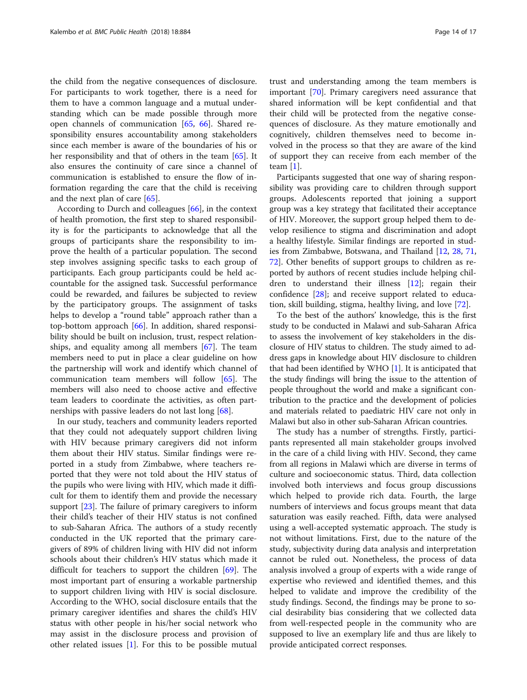the child from the negative consequences of disclosure. For participants to work together, there is a need for them to have a common language and a mutual understanding which can be made possible through more open channels of communication [\[65](#page-16-0), [66](#page-16-0)]. Shared responsibility ensures accountability among stakeholders since each member is aware of the boundaries of his or her responsibility and that of others in the team [\[65](#page-16-0)]. It also ensures the continuity of care since a channel of communication is established to ensure the flow of information regarding the care that the child is receiving and the next plan of care [[65](#page-16-0)].

According to Durch and colleagues [\[66](#page-16-0)], in the context of health promotion, the first step to shared responsibility is for the participants to acknowledge that all the groups of participants share the responsibility to improve the health of a particular population. The second step involves assigning specific tasks to each group of participants. Each group participants could be held accountable for the assigned task. Successful performance could be rewarded, and failures be subjected to review by the participatory groups. The assignment of tasks helps to develop a "round table" approach rather than a top-bottom approach [[66\]](#page-16-0). In addition, shared responsibility should be built on inclusion, trust, respect relationships, and equality among all members [[67](#page-16-0)]. The team members need to put in place a clear guideline on how the partnership will work and identify which channel of communication team members will follow [[65\]](#page-16-0). The members will also need to choose active and effective team leaders to coordinate the activities, as often partnerships with passive leaders do not last long [\[68](#page-16-0)].

In our study, teachers and community leaders reported that they could not adequately support children living with HIV because primary caregivers did not inform them about their HIV status. Similar findings were reported in a study from Zimbabwe, where teachers reported that they were not told about the HIV status of the pupils who were living with HIV, which made it difficult for them to identify them and provide the necessary support [[23](#page-15-0)]. The failure of primary caregivers to inform their child's teacher of their HIV status is not confined to sub-Saharan Africa. The authors of a study recently conducted in the UK reported that the primary caregivers of 89% of children living with HIV did not inform schools about their children's HIV status which made it difficult for teachers to support the children [[69\]](#page-16-0). The most important part of ensuring a workable partnership to support children living with HIV is social disclosure. According to the WHO, social disclosure entails that the primary caregiver identifies and shares the child's HIV status with other people in his/her social network who may assist in the disclosure process and provision of other related issues [\[1](#page-14-0)]. For this to be possible mutual

trust and understanding among the team members is important [\[70](#page-16-0)]. Primary caregivers need assurance that shared information will be kept confidential and that their child will be protected from the negative consequences of disclosure. As they mature emotionally and cognitively, children themselves need to become involved in the process so that they are aware of the kind of support they can receive from each member of the team [[1\]](#page-14-0).

Participants suggested that one way of sharing responsibility was providing care to children through support groups. Adolescents reported that joining a support group was a key strategy that facilitated their acceptance of HIV. Moreover, the support group helped them to develop resilience to stigma and discrimination and adopt a healthy lifestyle. Similar findings are reported in studies from Zimbabwe, Botswana, and Thailand [\[12,](#page-14-0) [28](#page-15-0), [71](#page-16-0), [72\]](#page-16-0). Other benefits of support groups to children as reported by authors of recent studies include helping children to understand their illness [[12\]](#page-14-0); regain their confidence [[28\]](#page-15-0); and receive support related to education, skill building, stigma, healthy living, and love [[72\]](#page-16-0).

To the best of the authors' knowledge, this is the first study to be conducted in Malawi and sub-Saharan Africa to assess the involvement of key stakeholders in the disclosure of HIV status to children. The study aimed to address gaps in knowledge about HIV disclosure to children that had been identified by WHO [\[1](#page-14-0)]. It is anticipated that the study findings will bring the issue to the attention of people throughout the world and make a significant contribution to the practice and the development of policies and materials related to paediatric HIV care not only in Malawi but also in other sub-Saharan African countries.

The study has a number of strengths. Firstly, participants represented all main stakeholder groups involved in the care of a child living with HIV. Second, they came from all regions in Malawi which are diverse in terms of culture and socioeconomic status. Third, data collection involved both interviews and focus group discussions which helped to provide rich data. Fourth, the large numbers of interviews and focus groups meant that data saturation was easily reached. Fifth, data were analysed using a well-accepted systematic approach. The study is not without limitations. First, due to the nature of the study, subjectivity during data analysis and interpretation cannot be ruled out. Nonetheless, the process of data analysis involved a group of experts with a wide range of expertise who reviewed and identified themes, and this helped to validate and improve the credibility of the study findings. Second, the findings may be prone to social desirability bias considering that we collected data from well-respected people in the community who are supposed to live an exemplary life and thus are likely to provide anticipated correct responses.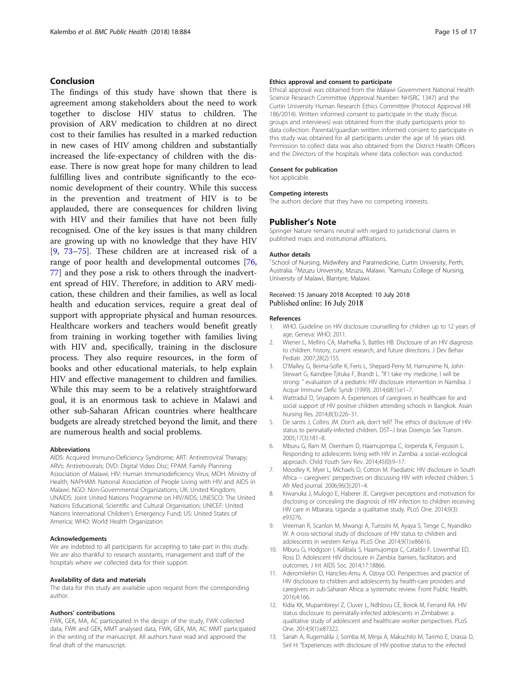### <span id="page-14-0"></span>Conclusion

The findings of this study have shown that there is agreement among stakeholders about the need to work together to disclose HIV status to children. The provision of ARV medication to children at no direct cost to their families has resulted in a marked reduction in new cases of HIV among children and substantially increased the life-expectancy of children with the disease. There is now great hope for many children to lead fulfilling lives and contribute significantly to the economic development of their country. While this success in the prevention and treatment of HIV is to be applauded, there are consequences for children living with HIV and their families that have not been fully recognised. One of the key issues is that many children are growing up with no knowledge that they have HIV [9, [73](#page-16-0)–[75\]](#page-16-0). These children are at increased risk of a range of poor health and developmental outcomes [[76](#page-16-0), [77\]](#page-16-0) and they pose a risk to others through the inadvertent spread of HIV. Therefore, in addition to ARV medication, these children and their families, as well as local health and education services, require a great deal of support with appropriate physical and human resources. Healthcare workers and teachers would benefit greatly from training in working together with families living with HIV and, specifically, training in the disclosure process. They also require resources, in the form of books and other educational materials, to help explain HIV and effective management to children and families. While this may seem to be a relatively straightforward goal, it is an enormous task to achieve in Malawi and other sub-Saharan African countries where healthcare budgets are already stretched beyond the limit, and there are numerous health and social problems.

#### Abbreviations

AIDS: Acquired Immuno-Deficiency Syndrome; ART: Antiretroviral Therapy; ARVs: Antiretrovirals; DVD: Digital Video Disc; FPAM: Family Planning Association of Malawi; HIV: Human Immunodeficiency Virus; MOH: Ministry of Health; NAPHAM: National Association of People Living with HIV and AIDS in Malawi; NGO: Non-Governmental Organizations; UK: United Kingdom; UNAIDS: Joint United Nations Programme on HIV/AIDS; UNESCO: The United Nations Educational, Scientific and Cultural Organisation; UNICEF: United Nations International Children's Emergency Fund; US: United States of America; WHO: World Health Organization

#### Acknowledgements

We are indebted to all participants for accepting to take part in this study. We are also thankful to research assistants, management and staff of the hospitals where we collected data for their support.

#### Availability of data and materials

The data for this study are available upon request from the corresponding author.

#### Authors' contributions

FWK, GEK, MA, AC participated in the design of the study, FWK collected data, FWK and GEK, MMT analysed data, FWK, GEK, MA, AC MMT participated in the writing of the manuscript. All authors have read and approved the final draft of the manuscript.

#### Ethics approval and consent to participate

Ethical approval was obtained from the Malawi Government National Health Science Research Committee (Approval Number: NHSRC 1347) and the Curtin University Human Research Ethics Committee (Protocol Approval HR 186/2014). Written informed consent to participate in the study (focus groups and interviews) was obtained from the study participants prior to data collection. Parental/guardian written informed consent to participate in this study was obtained for all participants under the age of 16 years old. Permission to collect data was also obtained from the District Health Officers and the Directors of the hospitals where data collection was conducted.

#### Consent for publication

Not applicable.

#### Competing interests

The authors declare that they have no competing interests.

### Publisher's Note

Springer Nature remains neutral with regard to jurisdictional claims in published maps and institutional affiliations.

#### Author details

<sup>1</sup>School of Nursing, Midwifery and Paramedicine, Curtin University, Perth Australia. <sup>2</sup>Mzuzu University, Mzuzu, Malawi. <sup>3</sup>Kamuzu College of Nursing, University of Malawi, Blantyre, Malawi.

### Received: 15 January 2018 Accepted: 10 July 2018 Published online: 16 July 2018

#### References

- WHO. Guideline on HIV disclosure counselling for children up to 12 years of age. Geneva: WHO; 2011.
- 2. Wiener L, Mellins CA, Marhefka S, Battles HB. Disclosure of an HIV diagnosis to children: history, current research, and future directions. J Dev Behav Pediatr. 2007;28(2):155.
- 3. O'Malley G, Beima-Sofie K, Feris L, Shepard-Perry M, Hamunime N, John-Stewart G, Kaindjee-Tjituka F, Brandt L. "If I take my medicine, I will be strong: " evaluation of a pediatric HIV disclosure intervention in Namibia. J Acquir Immune Defic Syndr (1999). 2014;68(1):e1–7.
- 4. Wattradul D, Sriyaporn A. Experiences of caregivers in healthcare for and social support of HIV positive children attending schools in Bangkok. Asian Nursing Res. 2014;8(3):226–31.
- 5. De santis J, Collins JM. Don't ask, don't tell? The ethics of disclosure of HIVstatus to perinatally-infected children. DST–J bras Doenças Sex Transm. 2005;17(3):181–8.
- 6. Mburu G, Ram M, Oxenham D, Haamujompa C, Iorpenda K, Ferguson L. Responding to adolescents living with HIV in Zambia: a social–ecological approach. Child Youth Serv Rev. 2014;45(0):9–17.
- 7. Moodley K, Myer L, Michaels D, Cotton M. Paediatric HIV disclosure in South Africa -- caregivers' perspectives on discussing HIV with infected children. S Afr Med journal. 2006;96(3):201–4.
- 8. Kiwanuka J, Mulogo E, Haberer JE. Caregiver perceptions and motivation for disclosing or concealing the diagnosis of HIV infection to children receiving HIV care in Mbarara, Uganda: a qualitative study. PLoS One. 2014;9(3): e93276.
- 9. Vreeman R, Scanlon M, Mwangi A, Turissini M, Ayaya S, Tenge C, Nyandiko W. A cross-sectional study of disclosure of HIV status to children and adolescents in western Kenya. PLoS One. 2014;9(1):e86616.
- 10. Mburu G, Hodgson I, Kalibala S, Haamujompa C, Cataldo F, Lowenthal ED, Ross D. Adolescent HIV disclosure in Zambia: barriers, facilitators and outcomes. J Int AIDS Soc. 2014;17:18866.
- 11. Aderomilehin O, Hanciles-Amu A, Ozoya OO. Perspectives and practice of HIV disclosure to children and adolescents by health-care providers and caregivers in sub-Saharan Africa: a systematic review. Front Public Health. 2016;4:166.
- 12. Kidia KK, Mupambireyi Z, Cluver L, Ndhlovu CE, Borok M, Ferrand RA. HIV status disclosure to perinatally-infected adolescents in Zimbabwe: a qualitative study of adolescent and healthcare worker perspectives. PLoS One. 2014;9(1):e87322.
- 13. Sariah A, Rugemalila J, Somba M, Minja A, Makuchilo M, Tarimo E, Urassa D, Siril H: "Experiences with disclosure of HIV-positive status to the infected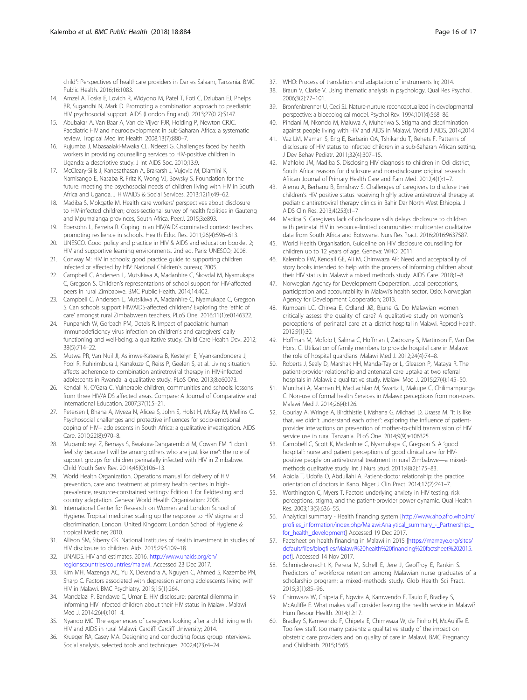<span id="page-15-0"></span>child": Perspectives of healthcare providers in Dar es Salaam, Tanzania. BMC Public Health. 2016;16:1083.

- 14. Amzel A, Toska E, Lovich R, Widyono M, Patel T, Foti C, Dziuban EJ, Phelps BR, Sugandhi N, Mark D. Promoting a combination approach to paediatric HIV psychosocial support. AIDS (London England). 2013;27(0 2):S147.
- 15. Abubakar A, Van Baar A, Van de Vijver FJR, Holding P, Newton CRJC. Paediatric HIV and neurodevelopment in sub-Saharan Africa: a systematic review. Tropical Med Int Health. 2008;13(7):880–7.
- 16. Rujumba J, Mbasaalaki-Mwaka CL, Ndeezi G. Challenges faced by health workers in providing counselling services to HIV-positive children in Uganda: a descriptive study. J Int AIDS Soc. 2010;13:9.
- 17. McCleary-Sills J, Kanesathasan A, Brakarsh J, Vujovic M, Dlamini K, Namisango E, Nasaba R, Fritz K, Wong VJ, Bowsky S. Foundation for the future: meeting the psychosocial needs of children living with HIV in South Africa and Uganda. J HIV/AIDS & Social Services. 2013;12(1):49–62.
- 18. Madiba S, Mokgatle M. Health care workers' perspectives about disclosure to HIV-infected children; cross-sectional survey of health facilities in Gauteng and Mpumalanga provinces, South Africa. PeerJ. 2015;3:e893.
- 19. Ebersöhn L, Ferreira R. Coping in an HIV/AIDS-dominated context: teachers promoting resilience in schools. Health Educ Res. 2011;26(4):596–613.
- 20. UNESCO. Good policy and practice in HIV & AIDS and education booklet 2; HIV and supportive learning environments. 2nd ed. Paris: UNESCO; 2008.
- 21. Conway M: HIV in schools: good practice guide to supporting children infected or affected by HIV: National Children's bureau; 2005.
- 22. Campbell C, Andersen L, Mutsikiwa A, Madanhire C, Skovdal M, Nyamukapa C, Gregson S. Children's representations of school support for HIV-affected peers in rural Zimbabwe. BMC Public Health. 2014;14:402.
- 23. Campbell C, Andersen L, Mutsikiwa A, Madanhire C, Nyamukapa C, Gregson S. Can schools support HIV/AIDS-affected children? Exploring the 'ethic of care' amongst rural Zimbabwean teachers. PLoS One. 2016;11(1):e0146322.
- 24. Punpanich W, Gorbach PM, Detels R. Impact of paediatric human immunodeficiency virus infection on children's and caregivers' daily functioning and well-being: a qualitative study. Child Care Health Dev. 2012; 38(5):714–22.
- 25. Mutwa PR, Van Nuil JI, Asiimwe-Kateera B, Kestelyn E, Vyankandondera J, Pool R, Ruhirimbura J, Kanakuze C, Reiss P, Geelen S, et al. Living situation affects adherence to combination antiretroviral therapy in HIV-infected adolescents in Rwanda: a qualitative study. PLoS One. 2013;8:e60073.
- 26. Kendall N, O'Gara C. Vulnerable children, communities and schools: lessons from three HIV/AIDS affected areas. Compare: A Journal of Comparative and International Education. 2007;37(1):5–21.
- 27. Petersen I, Bhana A, Myeza N, Alicea S, John S, Holst H, McKay M, Mellins C. Psychosocial challenges and protective influences for socio-emotional coping of HIV+ adolescents in South Africa: a qualitative investigation. AIDS Care. 2010;22(8):970–8.
- 28. Mupambireyi Z, Bernays S, Bwakura-Dangarembizi M, Cowan FM. "I don't feel shy because I will be among others who are just like me": the role of support groups for children perinatally infected with HIV in Zimbabwe. Child Youth Serv Rev. 2014;45(0):106–13.
- 29. World Health Organization. Operations manual for delivery of HIV prevention, care and treatment at primary health centres in highprevalence, resource-constrained settings: Edition 1 for fieldtesting and country adaptation. Geneva: World Health Organization; 2008.
- 30. International Center for Research on Women and London School of Hygiene. Tropical medicine: scaling up the response to HIV stigma and discrimination. London: United Kingdom: London School of Hygiene & tropical Medicine; 2010.
- 31. Allison SM, Siberry GK. National Institutes of Health investment in studies of HIV disclosure to children. Aids. 2015;29:S109–18.
- 32. UNAIDS. HIV and estimates. 2016. [http://www.unaids.org/en/](http://www.unaids.org/en/regionscountries/countries/malawi) [regionscountries/countries/malawi](http://www.unaids.org/en/regionscountries/countries/malawi). Accessed 23 Dec 2017.
- 33. Kim MH, Mazenga AC, Yu X, Devandra A, Nguyen C, Ahmed S, Kazembe PN, Sharp C. Factors associated with depression among adolescents living with HIV in Malawi. BMC Psychiatry. 2015;15(1):264.
- 34. Mandalazi P, Bandawe C, Umar E. HIV disclosure: parental dilemma in informing HIV infected children about their HIV status in Malawi. Malawi Med J. 2014;26(4):101–4.
- 35. Nyando MC. The experiences of caregivers looking after a child living with HIV and AIDS in rural Malawi. Cardiff: Cardiff University; 2014.
- 36. Krueger RA, Casey MA. Designing and conducting focus group interviews. Social analysis, selected tools and techniques. 2002;4(23):4–24.
- 37. WHO: Process of translation and adaptation of instruments In; 2014.
- 38. Braun V, Clarke V. Using thematic analysis in psychology. Qual Res Psychol. 2006;3(2):77–101.
- 39. Bronfenbrenner U, Ceci SJ. Nature-nurture reconceptualized in developmental perspective: a bioecological model. Psychol Rev. 1994;101(4):568–86.
- 40. Pindani M, Nkondo M, Maluwa A, Muheriwa S. Stigma and discrimination against people living with HIV and AIDS in Malawi. World J AIDS. 2014;2014
- 41. Vaz LM, Maman S, Eng E, Barbarin OA, Tshikandu T, Behets F. Patterns of disclosure of HIV status to infected children in a sub-Saharan African setting. J Dev Behav Pediatr. 2011;32(4):307–15.
- 42. Mahloko JM, Madiba S. Disclosing HIV diagnosis to children in Odi district, South Africa: reasons for disclosure and non-disclosure: original research. African Journal of Primary Health Care and Fam Med. 2012;4(1):1–7.
- 43. Alemu A, Berhanu B, Emishaw S. Challenges of caregivers to disclose their children's HIV positive status receiving highly active antiretroviral therapy at pediatric antiretroviral therapy clinics in Bahir Dar North West Ethiopia. J AIDS Clin Res. 2013;4(253):1–7
- 44. Madiba S. Caregivers lack of disclosure skills delays disclosure to children with perinatal HIV in resource-limited communities: multicenter qualitative data from South Africa and Botswana. Nurs Res Pract. 2016;2016:9637587.
- 45. World Health Organisation. Guideline on HIV disclosure counselling for children up to 12 years of age. Geneva: WHO; 2011.
- 46. Kalembo FW, Kendall GE, Ali M, Chimwaza AF: Need and acceptability of story books intended to help with the process of informing children about their HIV status in Malawi: a mixed methods study. AIDS Care. 2018;1–8.
- 47. Norwegian Agency for Development Cooperation. Local perceptions, participation and accountability in Malawi's health sector. Oslo: Norwegian Agency for Development Cooperation; 2013.
- 48. Kumbani LC, Chirwa E, Odland JØ, Bjune G. Do Malawian women critically assess the quality of care? A qualitative study on women's perceptions of perinatal care at a district hospital in Malawi. Reprod Health. 2012;9(1):30.
- 49. Hoffman M, Mofolo I, Salima C, Hoffman I, Zadrozny S, Martinson F, Van Der Horst C. Utilization of family members to provide hospital care in Malawi: the role of hospital guardians. Malawi Med J. 2012;24(4):74–8.
- 50. Roberts J, Sealy D, Marshak HH, Manda-Taylor L, Gleason P, Mataya R. The patient-provider relationship and antenatal care uptake at two referral hospitals in Malawi: a qualitative study. Malawi Med J. 2015;27(4):145–50.
- 51. Munthali A, Mannan H, MacLachlan M, Swartz L, Makupe C, Chilimampunga C. Non-use of formal health Services in Malawi: perceptions from non-users. Malawi Med J. 2014;26(4):126.
- 52. Gourlay A, Wringe A, Birdthistle I, Mshana G, Michael D, Urassa M. "It is like that, we didn't understand each other": exploring the influence of patientprovider interactions on prevention of mother-to-child transmission of HIV service use in rural Tanzania. PLoS One. 2014;9(9):e106325.
- 53. Campbell C, Scott K, Madanhire C, Nyamukapa C, Gregson S. A 'good hospital': nurse and patient perceptions of good clinical care for HIVpositive people on antiretroviral treatment in rural Zimbabwe—a mixedmethods qualitative study. Int J Nurs Stud. 2011;48(2):175–83.
- 54. Abiola T, Udofia O, Abdullahi A. Patient-doctor relationship: the practice orientation of doctors in Kano. Niger J Clin Pract. 2014;17(2):241–7.
- 55. Worthington C, Myers T. Factors underlying anxiety in HIV testing: risk perceptions, stigma, and the patient-provider power dynamic. Qual Health Res. 2003;13(5):636–55.
- 56. Analytical summary Health financing system [\[http://www.aho.afro.who.int/](http://www.aho.afro.who.int/profiles_information/index.php/Malawi:Analytical_summary_-_Partnerships_for_health_development) [profiles\\_information/index.php/Malawi:Analytical\\_summary\\_-\\_Partnerships\\_](http://www.aho.afro.who.int/profiles_information/index.php/Malawi:Analytical_summary_-_Partnerships_for_health_development) [for\\_health\\_development\]](http://www.aho.afro.who.int/profiles_information/index.php/Malawi:Analytical_summary_-_Partnerships_for_health_development) Accessed 19 Dec 2017.
- 57. Factsheet on health financing in Malawi in 2015 [[https://mamaye.org/sites/](https://mamaye.org/sites/default/files/blogfiles/Malawi%20health%20financing%20factsheet%202015.pdf) [default/files/blogfiles/Malawi%20health%20financing%20factsheet%202015.](https://mamaye.org/sites/default/files/blogfiles/Malawi%20health%20financing%20factsheet%202015.pdf) [pdf](https://mamaye.org/sites/default/files/blogfiles/Malawi%20health%20financing%20factsheet%202015.pdf)]. Accessed 14 Nov 2017.
- 58. Schmiedeknecht K, Perera M, Schell E, Jere J, Geoffroy E, Rankin S. Predictors of workforce retention among Malawian nurse graduates of a scholarship program: a mixed-methods study. Glob Health Sci Pract. 2015;3(1):85–96.
- 59. Chimwaza W, Chipeta E, Ngwira A, Kamwendo F, Taulo F, Bradley S, McAuliffe E. What makes staff consider leaving the health service in Malawi? Hum Resour Health. 2014;12:17.
- 60. Bradley S, Kamwendo F, Chipeta E, Chimwaza W, de Pinho H, McAuliffe E. Too few staff, too many patients: a qualitative study of the impact on obstetric care providers and on quality of care in Malawi. BMC Pregnancy and Childbirth. 2015;15:65.